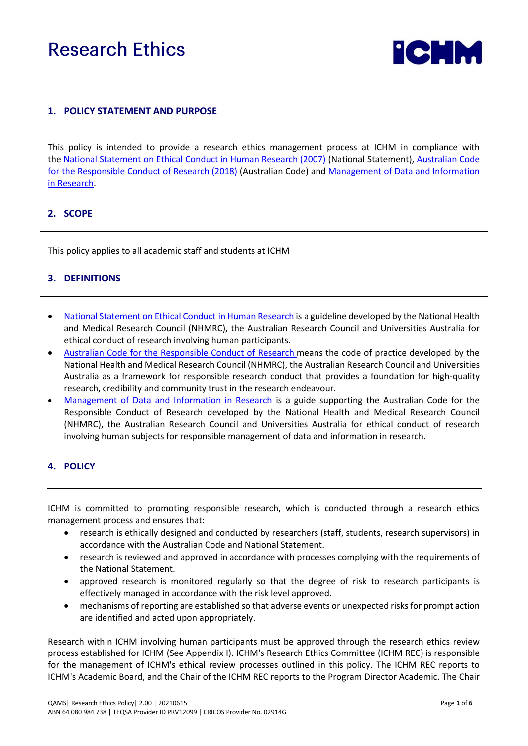# **Research Ethics**



## **1. POLICY STATEMENT AND PURPOSE**

This policy is intended to provide a research ethics management process at ICHM in compliance with the [National Statement on Ethical Conduct](https://www.nhmrc.gov.au/about-us/publications/national-statement-ethical-conduct-human-research-2007-updated-2018) in Human Research (2007) (National Statement), [Australian Code](https://www.nhmrc.gov.au/about-us/publications/australian-code-responsible-conduct-research-2018)  [for the Responsible Conduct of Research](https://www.nhmrc.gov.au/about-us/publications/australian-code-responsible-conduct-research-2018) (2018) (Australian Code) and [Management of Data and Information](https://www.nhmrc.gov.au/sites/default/files/documents/attachments/Management-of-Data-and-Information-in-Research.pdf)  [in Research.](https://www.nhmrc.gov.au/sites/default/files/documents/attachments/Management-of-Data-and-Information-in-Research.pdf)

#### **2. SCOPE**

This policy applies to all academic staff and students at ICHM

### **3. DEFINITIONS**

- [National Statement on Ethical Conduct](https://www.nhmrc.gov.au/about-us/publications/national-statement-ethical-conduct-human-research-2007-updated-2018) in Human Research is a guideline developed by the National Health and Medical Research Council (NHMRC), the Australian Research Council and Universities Australia for ethical conduct of research involving human participants.
- [Australian Code for the Responsible Conduct of Research](https://www.nhmrc.gov.au/about-us/publications/australian-code-responsible-conduct-research-2018) means the code of practice developed by the National Health and Medical Research Council (NHMRC), the Australian Research Council and Universities Australia as a framework for responsible research conduct that provides a foundation for high-quality research, credibility and community trust in the research endeavour.
- [Management of Data and Information in Research](https://www.nhmrc.gov.au/sites/default/files/documents/attachments/Management-of-Data-and-Information-in-Research.pdf) is a guide supporting the Australian Code for the Responsible Conduct of Research developed by the National Health and Medical Research Council (NHMRC), the Australian Research Council and Universities Australia for ethical conduct of research involving human subjects for responsible management of data and information in research.

### **4. POLICY**

ICHM is committed to promoting responsible research, which is conducted through a research ethics management process and ensures that:

- research is ethically designed and conducted by researchers (staff, students, research supervisors) in accordance with the Australian Code and National Statement.
- research is reviewed and approved in accordance with processes complying with the requirements of the National Statement.
- approved research is monitored regularly so that the degree of risk to research participants is effectively managed in accordance with the risk level approved.
- mechanisms of reporting are established so that adverse events or unexpected risks for prompt action are identified and acted upon appropriately.

Research within ICHM involving human participants must be approved through the research ethics review process established for ICHM (See Appendix I). ICHM's Research Ethics Committee (ICHM REC) is responsible for the management of ICHM's ethical review processes outlined in this policy. The ICHM REC reports to ICHM's Academic Board, and the Chair of the ICHM REC reports to the Program Director Academic. The Chair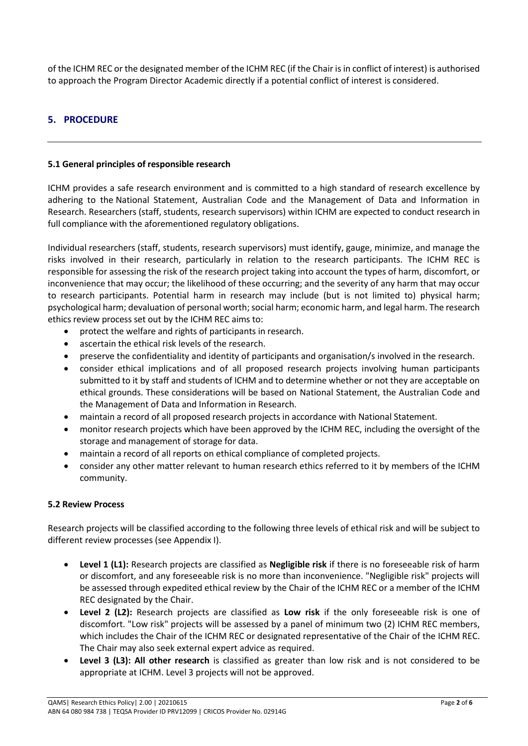of the ICHM REC or the designated member of the ICHM REC (if the Chair is in conflict of interest) is authorised to approach the Program Director Academic directly if a potential conflict of interest is considered.

## **5. PROCEDURE**

#### **5.1 General principles of responsible research**

ICHM provides a safe research environment and is committed to a high standard of research excellence by adhering to the National Statement, Australian Code and the Management of Data and Information in Research. Researchers (staff, students, research supervisors) within ICHM are expected to conduct research in full compliance with the aforementioned regulatory obligations.

Individual researchers (staff, students, research supervisors) must identify, gauge, minimize, and manage the risks involved in their research, particularly in relation to the research participants. The ICHM REC is responsible for assessing the risk of the research project taking into account the types of harm, discomfort, or inconvenience that may occur; the likelihood of these occurring; and the severity of any harm that may occur to research participants. Potential harm in research may include (but is not limited to) physical harm; psychological harm; devaluation of personal worth; social harm; economic harm, and legal harm. The research ethics review process set out by the ICHM REC aims to:

- protect the welfare and rights of participants in research.
- ascertain the ethical risk levels of the research.
- preserve the confidentiality and identity of participants and organisation/s involved in the research.
- consider ethical implications and of all proposed research projects involving human participants submitted to it by staff and students of ICHM and to determine whether or not they are acceptable on ethical grounds. These considerations will be based on National Statement, the Australian Code and the Management of Data and Information in Research.
- maintain a record of all proposed research projects in accordance with National Statement.
- monitor research projects which have been approved by the ICHM REC, including the oversight of the storage and management of storage for data.
- maintain a record of all reports on ethical compliance of completed projects.
- consider any other matter relevant to human research ethics referred to it by members of the ICHM community.

### **5.2 Review Process**

Research projects will be classified according to the following three levels of ethical risk and will be subject to different review processes (see Appendix I).

- **Level 1 (L1):** Research projects are classified as **Negligible risk** if there is no foreseeable risk of harm or discomfort, and any foreseeable risk is no more than inconvenience. "Negligible risk" projects will be assessed through expedited ethical review by the Chair of the ICHM REC or a member of the ICHM REC designated by the Chair.
- **Level 2 (L2):** Research projects are classified as **Low risk** if the only foreseeable risk is one of discomfort. "Low risk" projects will be assessed by a panel of minimum two (2) ICHM REC members, which includes the Chair of the ICHM REC or designated representative of the Chair of the ICHM REC. The Chair may also seek external expert advice as required.
- **Level 3 (L3): All other research** is classified as greater than low risk and is not considered to be appropriate at ICHM. Level 3 projects will not be approved.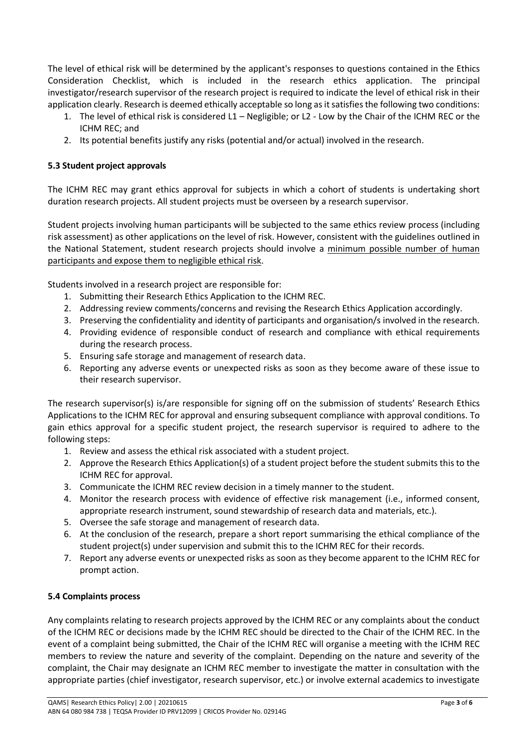The level of ethical risk will be determined by the applicant's responses to questions contained in the Ethics Consideration Checklist, which is included in the research ethics application. The principal investigator/research supervisor of the research project is required to indicate the level of ethical risk in their application clearly. Research is deemed ethically acceptable so long as it satisfies the following two conditions:

- 1. The level of ethical risk is considered L1 Negligible; or L2 Low by the Chair of the ICHM REC or the ICHM REC; and
- 2. Its potential benefits justify any risks (potential and/or actual) involved in the research.

## **5.3 Student project approvals**

The ICHM REC may grant ethics approval for subjects in which a cohort of students is undertaking short duration research projects. All student projects must be overseen by a research supervisor.

Student projects involving human participants will be subjected to the same ethics review process (including risk assessment) as other applications on the level of risk. However, consistent with the guidelines outlined in the National Statement, student research projects should involve a minimum possible number of human participants and expose them to negligible ethical risk.

Students involved in a research project are responsible for:

- 1. Submitting their Research Ethics Application to the ICHM REC.
- 2. Addressing review comments/concerns and revising the Research Ethics Application accordingly.
- 3. Preserving the confidentiality and identity of participants and organisation/s involved in the research.
- 4. Providing evidence of responsible conduct of research and compliance with ethical requirements during the research process.
- 5. Ensuring safe storage and management of research data.
- 6. Reporting any adverse events or unexpected risks as soon as they become aware of these issue to their research supervisor.

The research supervisor(s) is/are responsible for signing off on the submission of students' Research Ethics Applications to the ICHM REC for approval and ensuring subsequent compliance with approval conditions. To gain ethics approval for a specific student project, the research supervisor is required to adhere to the following steps:

- 1. Review and assess the ethical risk associated with a student project.
- 2. Approve the Research Ethics Application(s) of a student project before the student submits this to the ICHM REC for approval.
- 3. Communicate the ICHM REC review decision in a timely manner to the student.
- 4. Monitor the research process with evidence of effective risk management (i.e., informed consent, appropriate research instrument, sound stewardship of research data and materials, etc.).
- 5. Oversee the safe storage and management of research data.
- 6. At the conclusion of the research, prepare a short report summarising the ethical compliance of the student project(s) under supervision and submit this to the ICHM REC for their records.
- 7. Report any adverse events or unexpected risks as soon as they become apparent to the ICHM REC for prompt action.

### **5.4 Complaints process**

Any complaints relating to research projects approved by the ICHM REC or any complaints about the conduct of the ICHM REC or decisions made by the ICHM REC should be directed to the Chair of the ICHM REC. In the event of a complaint being submitted, the Chair of the ICHM REC will organise a meeting with the ICHM REC members to review the nature and severity of the complaint. Depending on the nature and severity of the complaint, the Chair may designate an ICHM REC member to investigate the matter in consultation with the appropriate parties (chief investigator, research supervisor, etc.) or involve external academics to investigate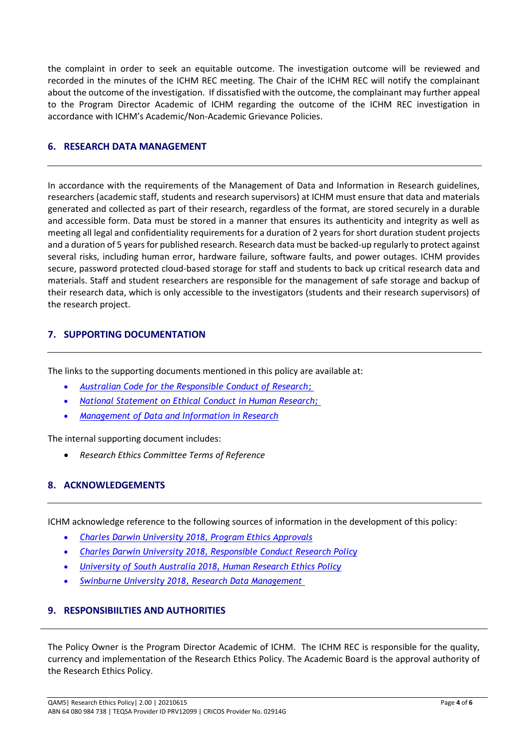the complaint in order to seek an equitable outcome. The investigation outcome will be reviewed and recorded in the minutes of the ICHM REC meeting. The Chair of the ICHM REC will notify the complainant about the outcome of the investigation. If dissatisfied with the outcome, the complainant may further appeal to the Program Director Academic of ICHM regarding the outcome of the ICHM REC investigation in accordance with ICHM's Academic/Non-Academic Grievance Policies.

### **6. RESEARCH DATA MANAGEMENT**

In accordance with the requirements of the Management of Data and Information in Research guidelines, researchers (academic staff, students and research supervisors) at ICHM must ensure that data and materials generated and collected as part of their research, regardless of the format, are stored securely in a durable and accessible form. Data must be stored in a manner that ensures its authenticity and integrity as well as meeting all legal and confidentiality requirements for a duration of 2 years for short duration student projects and a duration of 5 years for published research. Research data must be backed-up regularly to protect against several risks, including human error, hardware failure, software faults, and power outages. ICHM provides secure, password protected cloud-based storage for staff and students to back up critical research data and materials. Staff and student researchers are responsible for the management of safe storage and backup of their research data, which is only accessible to the investigators (students and their research supervisors) of the research project.

### **7. SUPPORTING DOCUMENTATION**

The links to the supporting documents mentioned in this policy are available at:

- *[Australian Code for the Responsible Conduct of Research;](https://www.nhmrc.gov.au/about-us/publications/australian-code-responsible-conduct-research-2018)*
- *[National Statement on Ethical Conduct in Human Research;](https://www.nhmrc.gov.au/about-us/publications/national-statement-ethical-conduct-human-research-2007-updated-2018)*
- *[Management of Data and Information in Research](https://www.nhmrc.gov.au/sites/default/files/documents/attachments/Management-of-Data-and-Information-in-Research.pdf)*

The internal supporting document includes:

• *Research Ethics Committee Terms of Reference*

### **8. ACKNOWLEDGEMENTS**

ICHM acknowledge reference to the following sources of information in the development of this policy:

- *Charles Darwin University 2018, Program Ethics Approvals*
- *Charles Darwin University 2018, Responsible [Conduct](https://www.cdu.edu.au/governance/doclibrary/pol-035.pdf) Research Policy*
- *University of South Australia 2018, [Human Research Ethics Policy](https://i.unisa.edu.au/policies-and-procedures/university-policies/research/res-2/)*
- *Swinburne University 2018, [Research Data Management](https://www.swinburne.edu.au/research/ethics/data-management/)*

### **9. RESPONSIBIILTIES AND AUTHORITIES**

The Policy Owner is the Program Director Academic of ICHM. The ICHM REC is responsible for the quality, currency and implementation of the Research Ethics Policy. The Academic Board is the approval authority of the Research Ethics Policy.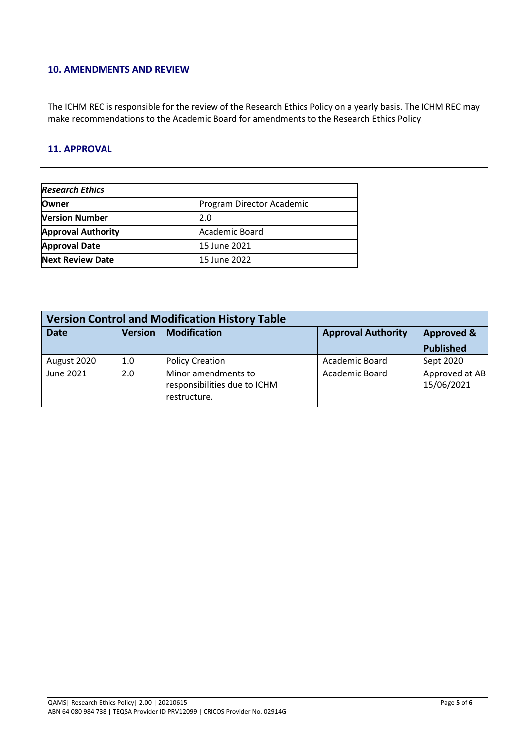#### **10. AMENDMENTS AND REVIEW**

The ICHM REC is responsible for the review of the Research Ethics Policy on a yearly basis. The ICHM REC may make recommendations to the Academic Board for amendments to the Research Ethics Policy.

#### **11. APPROVAL**

| <b>Research Ethics</b>                    |                |  |  |  |
|-------------------------------------------|----------------|--|--|--|
| <b>Owner</b><br>Program Director Academic |                |  |  |  |
| <b>Version Number</b>                     | 2.0            |  |  |  |
| <b>Approval Authority</b>                 | Academic Board |  |  |  |
| <b>Approval Date</b>                      | 15 June 2021   |  |  |  |
| <b>Next Review Date</b>                   | 15 June 2022   |  |  |  |

| <b>Version Control and Modification History Table</b> |                |                                                                     |                           |                              |  |
|-------------------------------------------------------|----------------|---------------------------------------------------------------------|---------------------------|------------------------------|--|
| <b>Date</b>                                           | <b>Version</b> | <b>Modification</b>                                                 | <b>Approval Authority</b> | <b>Approved &amp;</b>        |  |
|                                                       |                |                                                                     |                           | <b>Published</b>             |  |
| August 2020                                           | 1.0            | <b>Policy Creation</b>                                              | Academic Board            | Sept 2020                    |  |
| June 2021                                             | 2.0            | Minor amendments to<br>responsibilities due to ICHM<br>restructure. | <b>Academic Board</b>     | Approved at AB<br>15/06/2021 |  |